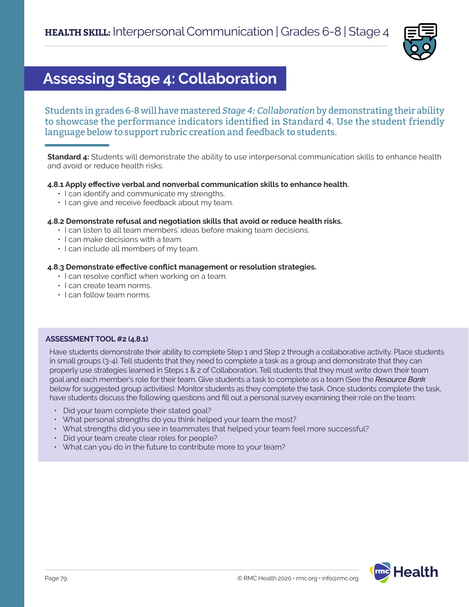

# **Assessing Stage 4: Collaboration**

Students in grades 6-8 will have mastered *Stage 4: Collaboration* by demonstrating their ability to showcase the performance indicators identified in Standard 4. Use the student friendly language below to support rubric creation and feedback to students.

**Standard 4:** Students will demonstrate the ability to use interpersonal communication skills to enhance health and avoid or reduce health risks.

# **4.8.1 Apply effective verbal and nonverbal communication skills to enhance health.**

- I can identify and communicate my strengths.
- I can give and receive feedback about my team.

### **4.8.2 Demonstrate refusal and negotiation skills that avoid or reduce health risks.**

- I can listen to all team members' ideas before making team decisions.
- I can make decisions with a team.
- I can include all members of my team.

### **4.8.3 Demonstrate effective conflict management or resolution strategies.**

- I can resolve conflict when working on a team.
- I can create team norms.
- I can follow team norms.

# **ASSESSMENT TOOL #2 (4.8.1)**

Have students demonstrate their ability to complete Step 1 and Step 2 through a collaborative activity. Place students in small groups (3-4). Tell students that they need to complete a task as a group and demonstrate that they can properly use strategies learned in Steps 1 & 2 of Collaboration. Tell students that they must write down their team goal and each member's role for their team. Give students a task to complete as a team (See the *Resource Bank* below for suggested group activities). Monitor students as they complete the task. Once students complete the task, have students discuss the following questions and fill out a personal survey examining their role on the team:

- Did your team complete their stated goal?
- What personal strengths do you think helped your team the most?
- What strengths did you see in teammates that helped your team feel more successful?
- Did your team create clear roles for people?
- What can you do in the future to contribute more to your team?

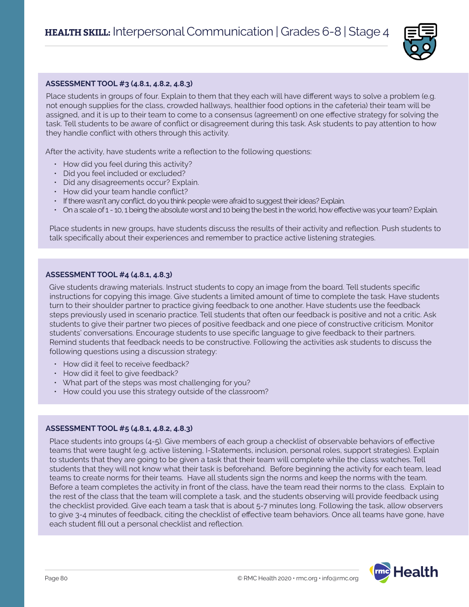

## **ASSESSMENT TOOL #3 (4.8.1, 4.8.2, 4.8.3)**

Place students in groups of four. Explain to them that they each will have different ways to solve a problem (e.g. not enough supplies for the class, crowded hallways, healthier food options in the cafeteria) their team will be assigned, and it is up to their team to come to a consensus (agreement) on one effective strategy for solving the task. Tell students to be aware of conflict or disagreement during this task. Ask students to pay attention to how they handle conflict with others through this activity.

After the activity, have students write a reflection to the following questions:

- How did you feel during this activity?
- Did you feel included or excluded?
- Did any disagreements occur? Explain.
- How did your team handle conflict?
- If there wasn't any conflict, do you think people were afraid to suggest their ideas? Explain.
- On a scale of 1 10, 1 being the absolute worst and 10 being the best in the world, how effective was your team? Explain.

Place students in new groups, have students discuss the results of their activity and reflection. Push students to talk specifically about their experiences and remember to practice active listening strategies.

#### **ASSESSMENT TOOL #4 (4.8.1, 4.8.3)**

Give students drawing materials. Instruct students to copy an image from the board. Tell students specific instructions for copying this image. Give students a limited amount of time to complete the task. Have students turn to their shoulder partner to practice giving feedback to one another. Have students use the feedback steps previously used in scenario practice. Tell students that often our feedback is positive and not a critic. Ask students to give their partner two pieces of positive feedback and one piece of constructive criticism. Monitor students' conversations. Encourage students to use specific language to give feedback to their partners. Remind students that feedback needs to be constructive. Following the activities ask students to discuss the following questions using a discussion strategy:

- How did it feel to receive feedback?
- How did it feel to give feedback?
- What part of the steps was most challenging for you?
- How could you use this strategy outside of the classroom?

#### **ASSESSMENT TOOL #5 (4.8.1, 4.8.2, 4.8.3)**

Place students into groups (4-5). Give members of each group a checklist of observable behaviors of effective teams that were taught (e.g. active listening, I-Statements, inclusion, personal roles, support strategies). Explain to students that they are going to be given a task that their team will complete while the class watches. Tell students that they will not know what their task is beforehand. Before beginning the activity for each team, lead teams to create norms for their teams. Have all students sign the norms and keep the norms with the team. Before a team completes the activity in front of the class, have the team read their norms to the class. Explain to the rest of the class that the team will complete a task, and the students observing will provide feedback using the checklist provided. Give each team a task that is about 5-7 minutes long. Following the task, allow observers to give 3-4 minutes of feedback, citing the checklist of effective team behaviors. Once all teams have gone, have each student fill out a personal checklist and reflection.

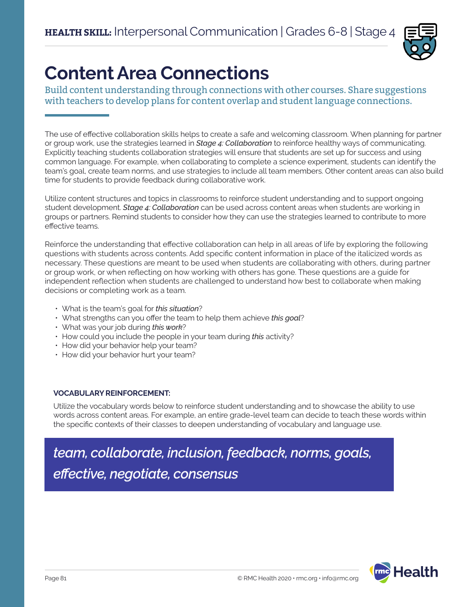

# **Content Area Connections**

Build content understanding through connections with other courses. Share suggestions with teachers to develop plans for content overlap and student language connections.

The use of effective collaboration skills helps to create a safe and welcoming classroom. When planning for partner or group work, use the strategies learned in *Stage 4: Collaboration* to reinforce healthy ways of communicating. Explicitly teaching students collaboration strategies will ensure that students are set up for success and using common language. For example, when collaborating to complete a science experiment, students can identify the team's goal, create team norms, and use strategies to include all team members. Other content areas can also build time for students to provide feedback during collaborative work.

Utilize content structures and topics in classrooms to reinforce student understanding and to support ongoing student development. *Stage 4: Collaboration* can be used across content areas when students are working in groups or partners. Remind students to consider how they can use the strategies learned to contribute to more effective teams.

Reinforce the understanding that effective collaboration can help in all areas of life by exploring the following questions with students across contents. Add specific content information in place of the italicized words as necessary. These questions are meant to be used when students are collaborating with others, during partner or group work, or when reflecting on how working with others has gone. These questions are a guide for independent reflection when students are challenged to understand how best to collaborate when making decisions or completing work as a team.

- What is the team's goal for *this situation*?
- What strengths can you offer the team to help them achieve *this goal*?
- What was your job during *this work*?
- How could you include the people in your team during *this* activity?
- How did your behavior help your team?
- How did your behavior hurt your team?

# **VOCABULARY REINFORCEMENT:**

Utilize the vocabulary words below to reinforce student understanding and to showcase the ability to use words across content areas. For example, an entire grade-level team can decide to teach these words within the specific contexts of their classes to deepen understanding of vocabulary and language use.

*team, collaborate, inclusion, feedback, norms, goals, effective, negotiate, consensus*